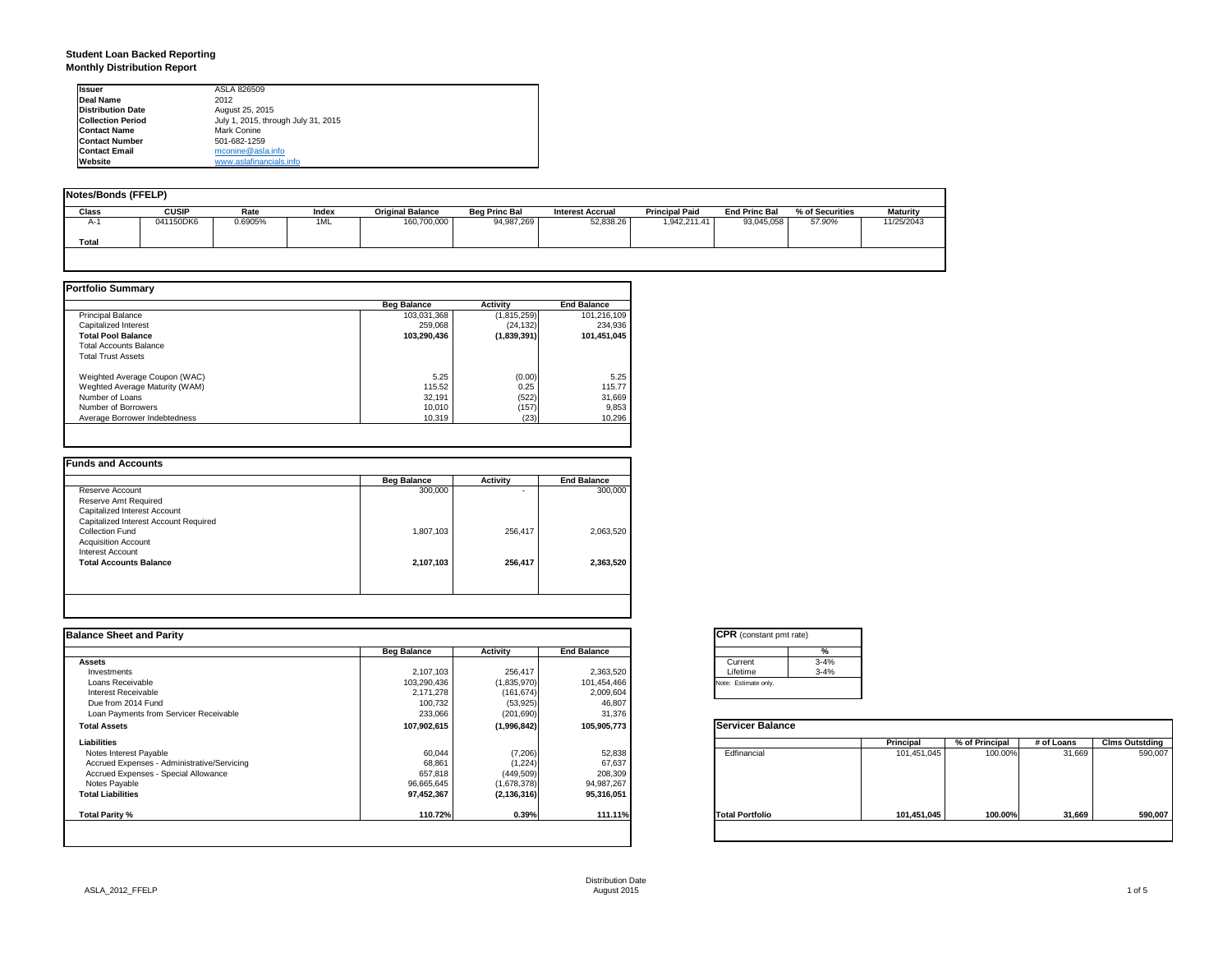### **Student Loan Backed Reporting Monthly Distribution Report**

| <b>Issuer</b>            | ASLA 826509                         |
|--------------------------|-------------------------------------|
| Deal Name                | 2012                                |
| <b>Distribution Date</b> | August 25, 2015                     |
| <b>Collection Period</b> | July 1, 2015, through July 31, 2015 |
| <b>Contact Name</b>      | Mark Conine                         |
| <b>Contact Number</b>    | 501-682-1259                        |
| <b>Contact Email</b>     | mconine@asla.info                   |
| Website                  | www.aslafinancials.info             |

| Notes/Bonds (FFELP) |              |         |       |                         |                      |                         |                       |                      |                 |                 |
|---------------------|--------------|---------|-------|-------------------------|----------------------|-------------------------|-----------------------|----------------------|-----------------|-----------------|
| <b>Class</b>        | <b>CUSIP</b> | Rate    | Index | <b>Original Balance</b> | <b>Beg Princ Bal</b> | <b>Interest Accrual</b> | <b>Principal Paid</b> | <b>End Princ Bal</b> | % of Securities | <b>Maturity</b> |
| A-1                 | 041150DK6    | 0.6905% | 1ML   | 160,700,000             | 94,987,269           | 52.838.26               | 1,942,211.41          | 93.045.058           | 57.90%          | 11/25/2043      |
| Total               |              |         |       |                         |                      |                         |                       |                      |                 |                 |
|                     |              |         |       |                         |                      |                         |                       |                      |                 |                 |

|                                | <b>Beg Balance</b> | <b>Activity</b> | <b>End Balance</b> |
|--------------------------------|--------------------|-----------------|--------------------|
| <b>Principal Balance</b>       | 103,031,368        | (1,815,259)     | 101,216,109        |
| Capitalized Interest           | 259.068            | (24, 132)       | 234,936            |
| <b>Total Pool Balance</b>      | 103.290.436        | (1,839,391)     | 101,451,045        |
| <b>Total Accounts Balance</b>  |                    |                 |                    |
| <b>Total Trust Assets</b>      |                    |                 |                    |
| Weighted Average Coupon (WAC)  | 5.25               | (0.00)          | 5.25               |
| Weghted Average Maturity (WAM) | 115.52             | 0.25            | 115.77             |
| Number of Loans                | 32.191             | (522)           | 31,669             |
| Number of Borrowers            | 10,010             | (157)           | 9,853              |
| Average Borrower Indebtedness  | 10.319             | (23)            | 10,296             |

|                                       | <b>Beg Balance</b> | Activity | <b>End Balance</b> |
|---------------------------------------|--------------------|----------|--------------------|
| Reserve Account                       | 300,000            | ۰        | 300,000            |
| Reserve Amt Required                  |                    |          |                    |
| Capitalized Interest Account          |                    |          |                    |
| Capitalized Interest Account Required |                    |          |                    |
| Collection Fund                       | 1,807,103          | 256,417  | 2,063,520          |
| <b>Acquisition Account</b>            |                    |          |                    |
| Interest Account                      |                    |          |                    |
| <b>Total Accounts Balance</b>         | 2,107,103          | 256,417  | 2,363,520          |
|                                       |                    |          |                    |
|                                       |                    |          |                    |

| <b>Balance Sheet and Parity</b>             |                    |               |                    | <b>CPR</b> (constant pmt rate) |          |             |                |            |                       |
|---------------------------------------------|--------------------|---------------|--------------------|--------------------------------|----------|-------------|----------------|------------|-----------------------|
|                                             | <b>Beg Balance</b> | Activity      | <b>End Balance</b> |                                | %        |             |                |            |                       |
| <b>Assets</b>                               |                    |               |                    | Current                        | $3 - 4%$ |             |                |            |                       |
| Investments                                 | 2,107,103          | 256,417       | 2,363,520          | Lifetime                       | $3 - 4%$ |             |                |            |                       |
| Loans Receivable                            | 103,290,436        | (1,835,970)   | 101,454,466        | Note: Estimate only.           |          |             |                |            |                       |
| Interest Receivable                         | 2,171,278          | (161, 674)    | 2,009,604          |                                |          |             |                |            |                       |
| Due from 2014 Fund                          | 100,732            | (53, 925)     | 46,807             |                                |          |             |                |            |                       |
| Loan Payments from Servicer Receivable      | 233,066            | (201, 690)    | 31,376             |                                |          |             |                |            |                       |
| <b>Total Assets</b>                         | 107,902,615        | (1,996,842)   | 105,905,773        | <b>Servicer Balance</b>        |          |             |                |            |                       |
| Liabilities                                 |                    |               |                    |                                |          | Principal   | % of Principal | # of Loans | <b>Clms Outstding</b> |
| Notes Interest Payable                      | 60,044             | (7,206)       | 52,838             | Edfinancial                    |          | 101,451,045 | 100.00%        | 31,669     | 590,007               |
| Accrued Expenses - Administrative/Servicing | 68,861             | (1,224)       | 67,637             |                                |          |             |                |            |                       |
| Accrued Expenses - Special Allowance        | 657,818            | (449, 509)    | 208,309            |                                |          |             |                |            |                       |
| Notes Payable                               | 96,665,645         | (1,678,378)   | 94,987,267         |                                |          |             |                |            |                       |
| <b>Total Liabilities</b>                    | 97,452,367         | (2, 136, 316) | 95,316,051         |                                |          |             |                |            |                       |
| Total Parity %                              | 110.72%            | 0.39%         | 111.11%            | <b>Total Portfolio</b>         |          | 101,451,045 | 100.00%        | 31,669     | 590,007               |
|                                             |                    |               |                    |                                |          |             |                |            |                       |

| Current  | $3 - 4%$ |
|----------|----------|
| Lifetime | $3 - 4%$ |

|                        | <b>Principal</b> | % of Principal | # of Loans | <b>Clms Outstding</b> |
|------------------------|------------------|----------------|------------|-----------------------|
| Edfinancial            | 101,451,045      | 100.00%        | 31,669     | 590,007               |
| <b>Total Portfolio</b> | 101,451,045      | 100.00%        | 31,669     | 590,007               |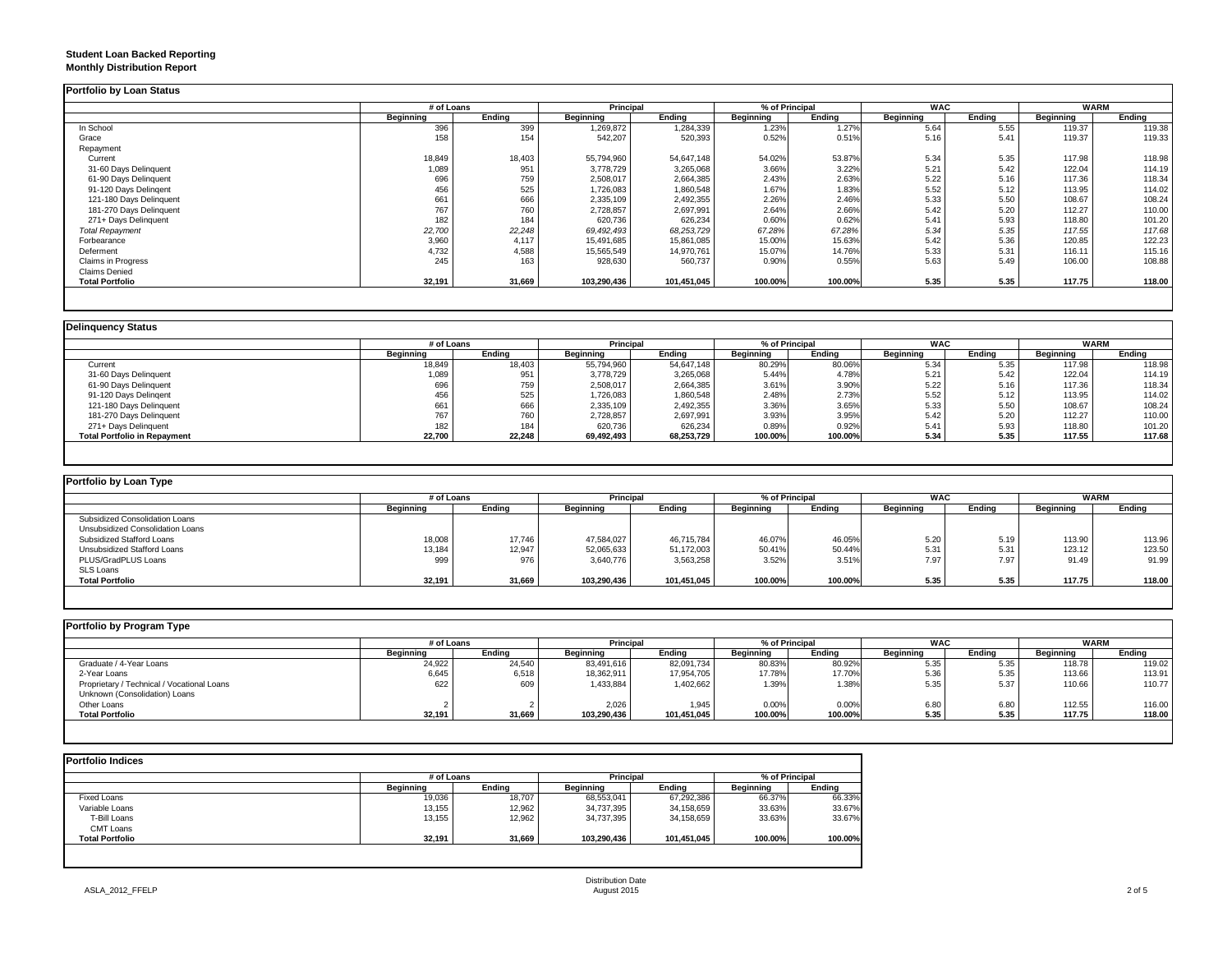### **Student Loan Backed Reporting Monthly Distribution Report**

|                         | # of Loans |        | Principal   |             | % of Principal |         | <b>WAC</b> |        | <b>WARM</b> |        |
|-------------------------|------------|--------|-------------|-------------|----------------|---------|------------|--------|-------------|--------|
|                         | Beginning  | Ending | Beginning   | Ending      | Beginning      | Ending  | Beginning  | Endina | Beginning   | Ending |
| In School               | 396        | 399    | 1,269,872   | 1,284,339   | 1.23%          | 1.27%   | 5.64       | 5.55   | 119.37      | 119.38 |
| Grace                   | 158        | 154    | 542,207     | 520,393     | 0.52%          | 0.51%   | 5.16       | 5.41   | 119.37      | 119.33 |
| Repayment               |            |        |             |             |                |         |            |        |             |        |
| Current                 | 18,849     | 18,403 | 55,794,960  | 54,647,148  | 54.02%         | 53.87%  | 5.34       | 5.35   | 117.98      | 118.98 |
| 31-60 Days Delinquent   | 1,089      | 951    | 3,778,729   | 3,265,068   | 3.66%          | 3.22%   | 5.21       | 5.42   | 122.04      | 114.19 |
| 61-90 Days Delinquent   | 696        | 759    | 2,508,017   | 2,664,385   | 2.43%          | 2.63%   | 5.22       | 5.16   | 117.36      | 118.34 |
| 91-120 Days Delingent   | 456        | 525    | 1,726,083   | 1,860,548   | 1.67%          | 1.83%   | 5.52       | 5.12   | 113.95      | 114.02 |
| 121-180 Days Delinquent | 661        | 666    | 2,335,109   | 2,492,355   | 2.26%          | 2.46%   | 5.33       | 5.50   | 108.67      | 108.24 |
| 181-270 Days Delinquent | 767        | 760    | 2,728,857   | 2,697,991   | 2.64%          | 2.66%   | 5.42       | 5.20   | 112.27      | 110.00 |
| 271+ Days Delinquent    | 182        | 184    | 620,736     | 626,234     | 0.60%          | 0.62%   | 5.41       | 5.93   | 118.80      | 101.20 |
| <b>Total Repayment</b>  | 22,700     | 22,248 | 69,492,493  | 68,253,729  | 67.28%         | 67.28%  | 5.34       | 5.35   | 117.55      | 117.68 |
| Forbearance             | 3,960      | 4.117  | 15,491,685  | 15,861,085  | 15.00%         | 15.63%  | 5.42       | 5.36   | 120.85      | 122.23 |
| Deferment               | 4,732      | 4,588  | 15,565,549  | 14,970,761  | 15.07%         | 14.76%  | 5.33       | 5.31   | 116.11      | 115.16 |
| Claims in Progress      | 245        | 163    | 928,630     | 560,737     | 0.90%          | 0.55%   | 5.63       | 5.49   | 106.00      | 108.88 |
| <b>Claims Denied</b>    |            |        |             |             |                |         |            |        |             |        |
| <b>Total Portfolio</b>  | 32,191     | 31,669 | 103,290,436 | 101,451,045 | 100.00%        | 100.00% | 5.35       | 5.35   | 117.75      | 118.00 |

|                                     |           | # of Loans |            | Principal  |           | % of Principal |                  | <b>WAC</b> |           | <b>WARM</b> |
|-------------------------------------|-----------|------------|------------|------------|-----------|----------------|------------------|------------|-----------|-------------|
|                                     | Beginning | Endina     | Beainnina  | Ending     | Beginning | Endina         | <b>Beginning</b> | Endina     | Beginning | Endina      |
| Current                             | 18,849    | 18,403     | 55,794,960 | 54,647,148 | 80.29%    | 80.06%         | 5.34             | 5.35       | 117.98    | 118.98      |
| 31-60 Days Delinquent               | 1,089     | 951        | 3,778,729  | 3,265,068  | 5.44%     | 4.78%          | 5.21             | 5.42       | 122.04    | 114.19      |
| 61-90 Days Delinquent               | 696       | 759        | 2,508,017  | 2,664,385  | 3.61%     | 3.90%          | 5.22             | 5.16       | 117.36    | 118.34      |
| 91-120 Days Delingent               | 456       | 525        | 1,726,083  | 1,860,548  | 2.48%     | 2.73%          | 5.52             | 5.12       | 113.95    | 114.02      |
| 121-180 Days Delinquent             | 661       | 666        | 2,335,109  | 2,492,355  | 3.36%     | 3.65%          | 5.33             | 5.50       | 108.67    | 108.24      |
| 181-270 Days Delinquent             | 767       | 760        | 2,728,857  | 2,697,991  | 3.93%     | 3.95%          | 5.42             | 5.20       | 112.27    | 110.00      |
| 271+ Days Delinquent                | 182       | 184        | 620,736    | 626,234    | 0.89%     | 0.92%          | 5.41             | 5.93       | 118.80    | 101.20      |
| <b>Total Portfolio in Repayment</b> | 22,700    | 22,248     | 69,492,493 | 68,253,729 | 100.00%   | 100.00%        | 5.34             | 5.35       | 117.55    | 117.68      |

| Portfolio by Loan Type           |                  |        |                  |             |           |                |           |            |                  |             |
|----------------------------------|------------------|--------|------------------|-------------|-----------|----------------|-----------|------------|------------------|-------------|
|                                  | # of Loans       |        | Principal        |             |           | % of Principal |           | <b>WAC</b> |                  | <b>WARM</b> |
|                                  | <b>Beginning</b> | Ending | <b>Beginning</b> | Endina      | Beginning | Endina         | Beginning | Endina     | <b>Beginning</b> | Ending      |
| Subsidized Consolidation Loans   |                  |        |                  |             |           |                |           |            |                  |             |
| Unsubsidized Consolidation Loans |                  |        |                  |             |           |                |           |            |                  |             |
| Subsidized Stafford Loans        | 18,008           | 17,746 | 47,584,027       | 46,715,784  | 46.07%    | 46.05%         | 5.20      | 5.19       | 113.90           | 113.96      |
| Unsubsidized Stafford Loans      | 13,184           | 12,947 | 52,065,633       | 51,172,003  | 50.41%    | 50.44%         | 5.31      | 5.31       | 123.12           | 123.50      |
| PLUS/GradPLUS Loans              | 999              | 976    | 3,640,776        | 3,563,258   | 3.52%     | 3.51%          | 7.97      | 7.97       | 91.49            | 91.99       |
| <b>SLS Loans</b>                 |                  |        |                  |             |           |                |           |            |                  |             |
| <b>Total Portfolio</b>           | 32,191           | 31,669 | 103.290.436      | 101.451.045 | 100.00%   | 100.00%        | 5.35      | 5.35       | 117.75           | 118.00      |

| Portfolio by Program Type                  |            |        |                  |             |                |         |                  |        |             |        |
|--------------------------------------------|------------|--------|------------------|-------------|----------------|---------|------------------|--------|-------------|--------|
|                                            | # of Loans |        | <b>Principal</b> |             | % of Principal |         | <b>WAC</b>       |        | <b>WARM</b> |        |
|                                            | Beginning  | Ending | Beginning        | Ending      | Beginning      | Ending  | <b>Beginning</b> | Ending | Beginning   | Ending |
| Graduate / 4-Year Loans                    | 24,922     | 24,540 | 83,491,616       | 82,091,734  | 80.83%         | 80.92%  | 5.35             | 5.35   | 118.78      | 119.02 |
| 2-Year Loans                               | 6,645      | 6,518  | 18,362,911       | 17,954,705  | 17.78%         | 17.70%  | 5.36             | 5.35   | 113.66      | 113.91 |
| Proprietary / Technical / Vocational Loans | 622        | 609    | 1,433,884        | 1,402,662   | 1.39%          | 1.38%   | 5.35             | 5.37   | 110.66      | 110.77 |
| Unknown (Consolidation) Loans              |            |        |                  |             |                |         |                  |        |             |        |
| Other Loans                                |            |        | 2.026            | 1.945       | 0.00%          | 0.00%   | 6.80             | 6.80   | 112.55      | 116.00 |
| <b>Total Portfolio</b>                     | 32,191     | 31,669 | 103,290,436      | 101,451,045 | 100.00%        | 100.00% | 5.35             | 5.35   | 117.75      | 118.00 |
|                                            |            |        |                  |             |                |         |                  |        |             |        |

| <b>Portfolio Indices</b> |            |        |                  |             |                |         |  |
|--------------------------|------------|--------|------------------|-------------|----------------|---------|--|
|                          | # of Loans |        | Principal        |             | % of Principal |         |  |
|                          | Beginning  | Endina | <b>Beginning</b> | Endina      | Beginning      | Endina  |  |
| Fixed Loans              | 19,036     | 18,707 | 68,553,041       | 67,292,386  | 66.37%         | 66.33%  |  |
| Variable Loans           | 13.155     | 12,962 | 34,737,395       | 34,158,659  | 33.63%         | 33.67%  |  |
| T-Bill Loans             | 13,155     | 12,962 | 34,737,395       | 34,158,659  | 33.63%         | 33.67%  |  |
| <b>CMT Loans</b>         |            |        |                  |             |                |         |  |
| <b>Total Portfolio</b>   | 32,191     | 31,669 | 103,290,436      | 101,451,045 | 100.00%        | 100.00% |  |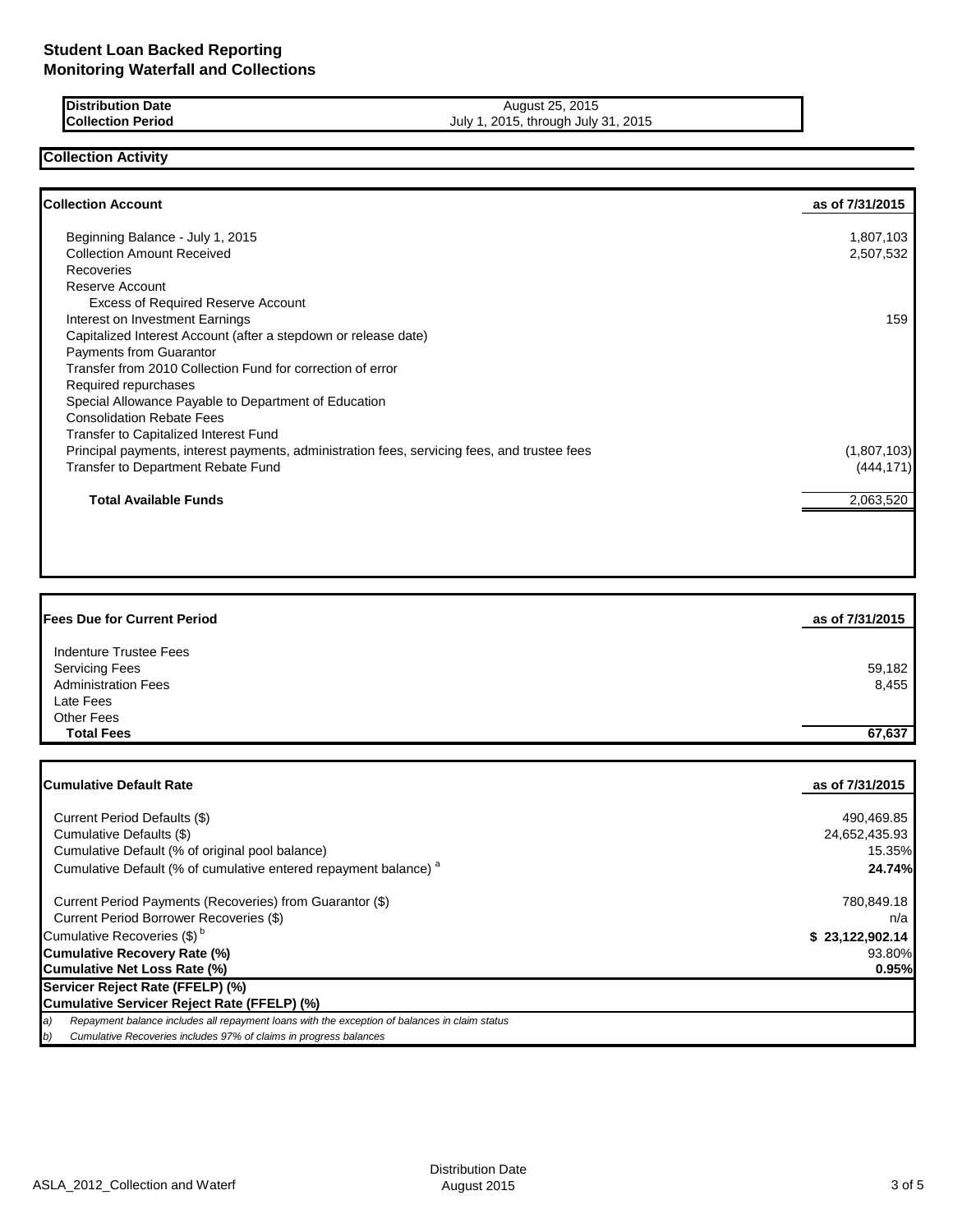| <b>IDistribution Date</b> | August 25, 2015             |
|---------------------------|-----------------------------|
| <b>Collection Period</b>  | July 1, 2015, through July: |

July 1, 2015, through July 31, 2015

## **Collection Activity**

| <b>Collection Account</b>                                                                    | as of 7/31/2015 |
|----------------------------------------------------------------------------------------------|-----------------|
| Beginning Balance - July 1, 2015                                                             | 1,807,103       |
| <b>Collection Amount Received</b>                                                            | 2,507,532       |
| Recoveries                                                                                   |                 |
| Reserve Account                                                                              |                 |
| <b>Excess of Required Reserve Account</b>                                                    |                 |
| Interest on Investment Earnings                                                              | 159             |
| Capitalized Interest Account (after a stepdown or release date)                              |                 |
| <b>Payments from Guarantor</b>                                                               |                 |
| Transfer from 2010 Collection Fund for correction of error                                   |                 |
| Required repurchases                                                                         |                 |
| Special Allowance Payable to Department of Education                                         |                 |
| <b>Consolidation Rebate Fees</b>                                                             |                 |
| Transfer to Capitalized Interest Fund                                                        |                 |
| Principal payments, interest payments, administration fees, servicing fees, and trustee fees | (1,807,103)     |
| Transfer to Department Rebate Fund                                                           | (444,171)       |
| <b>Total Available Funds</b>                                                                 | 2,063,520       |
|                                                                                              |                 |

| <b>Fees Due for Current Period</b> | as of 7/31/2015 |
|------------------------------------|-----------------|
| Indenture Trustee Fees             |                 |
| <b>Servicing Fees</b>              | 59,182          |
| <b>Administration Fees</b>         | 8,455           |
| Late Fees                          |                 |
| <b>Other Fees</b>                  |                 |
| <b>Total Fees</b>                  | 67,637          |

| <b>Cumulative Default Rate</b>                                                                      | as of 7/31/2015 |
|-----------------------------------------------------------------------------------------------------|-----------------|
|                                                                                                     |                 |
| Current Period Defaults (\$)                                                                        | 490,469.85      |
| Cumulative Defaults (\$)                                                                            | 24,652,435.93   |
| Cumulative Default (% of original pool balance)                                                     | 15.35%          |
| Cumulative Default (% of cumulative entered repayment balance) <sup>a</sup>                         | 24.74%          |
| Current Period Payments (Recoveries) from Guarantor (\$)                                            | 780,849.18      |
| Current Period Borrower Recoveries (\$)                                                             | n/a             |
| Cumulative Recoveries (\$) <sup>b</sup>                                                             | \$23,122,902.14 |
| <b>Cumulative Recovery Rate (%)</b>                                                                 | 93.80%          |
| Cumulative Net Loss Rate (%)                                                                        | 0.95%           |
| Servicer Reject Rate (FFELP) (%)                                                                    |                 |
| Cumulative Servicer Reject Rate (FFELP) (%)                                                         |                 |
| Repayment balance includes all repayment loans with the exception of balances in claim status<br>a) |                 |
| b)<br>Cumulative Recoveries includes 97% of claims in progress balances                             |                 |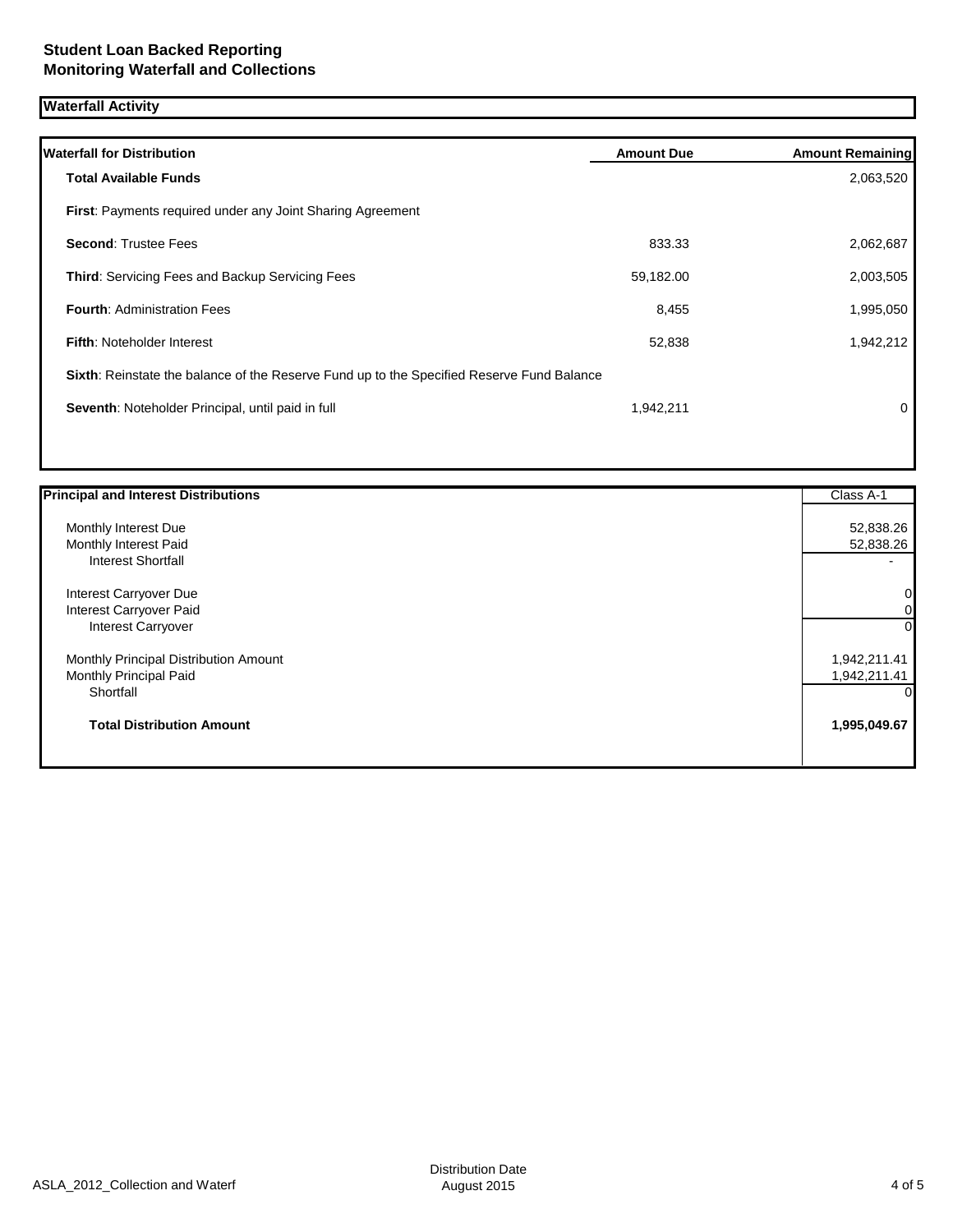# **Waterfall Activity**

| <b>Waterfall for Distribution</b>                                                         | <b>Amount Due</b> | <b>Amount Remaining</b> |
|-------------------------------------------------------------------------------------------|-------------------|-------------------------|
| <b>Total Available Funds</b>                                                              |                   | 2,063,520               |
| <b>First: Payments required under any Joint Sharing Agreement</b>                         |                   |                         |
| <b>Second: Trustee Fees</b>                                                               | 833.33            | 2,062,687               |
| <b>Third: Servicing Fees and Backup Servicing Fees</b>                                    | 59,182.00         | 2,003,505               |
| <b>Fourth: Administration Fees</b>                                                        | 8,455             | 1,995,050               |
| <b>Fifth: Noteholder Interest</b>                                                         | 52,838            | 1,942,212               |
| Sixth: Reinstate the balance of the Reserve Fund up to the Specified Reserve Fund Balance |                   |                         |
| Seventh: Noteholder Principal, until paid in full                                         | 1,942,211         | 0                       |
|                                                                                           |                   |                         |

| <b>Principal and Interest Distributions</b> | Class A-1                |
|---------------------------------------------|--------------------------|
| Monthly Interest Due                        | 52,838.26                |
| Monthly Interest Paid                       | 52,838.26                |
| <b>Interest Shortfall</b>                   | $\overline{\phantom{0}}$ |
| Interest Carryover Due                      | 0                        |
| Interest Carryover Paid                     | 0                        |
| Interest Carryover                          | 0                        |
| Monthly Principal Distribution Amount       | 1,942,211.41             |
| Monthly Principal Paid                      | 1,942,211.41             |
| Shortfall                                   | O                        |
| <b>Total Distribution Amount</b>            | 1,995,049.67             |
|                                             |                          |